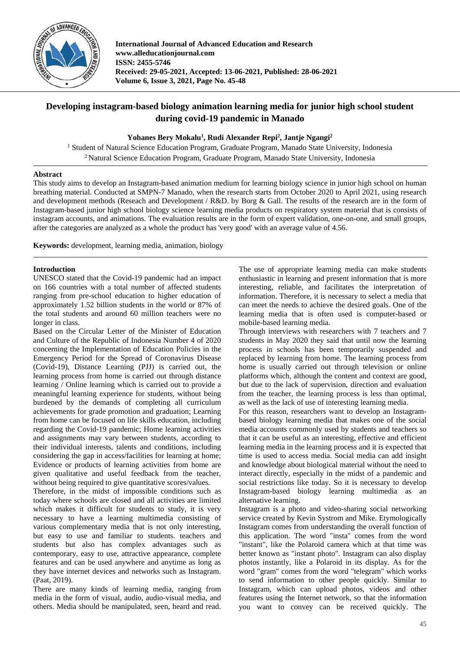

**International Journal of Advanced Education and Research www.alleducationjournal.com ISSN: 2455-5746 Received: 29-05-2021, Accepted: 13-06-2021, Published: 28-06-2021 Volume 6, Issue 3, 2021, Page No. 45-48**

# **Developing instagram-based biology animation learning media for junior high school student during covid-19 pandemic in Manado**

# **Yohanes Bery Mokalu1 , Rudi Alexander Repi2 , Jantje Ngangi2**

<sup>1</sup> Student of Natural Science Education Program, Graduate Program, Manado State University, Indonesia <sup>2</sup> Natural Science Education Program, Graduate Program, Manado State University, Indonesia

### **Abstract**

This study aims to develop an Instagram-based animation medium for learning biology science in junior high school on human breathing material. Conducted at SMPN-7 Manado, when the research starts from October 2020 to April 2021, using research and development methods (Reseach and Development / R&D. by Borg & Gall. The results of the research are in the form of Instagram-based junior high school biology science learning media products on respiratory system material that is consists of instagram accounts, and animations. The evaluation results are in the form of expert validation, one-on-one, and small groups, after the categories are analyzed as a whole the product has 'very good' with an average value of 4.56.

**Keywords:** development, learning media, animation, biology

## **Introduction**

UNESCO stated that the Covid-19 pandemic had an impact on 166 countries with a total number of affected students ranging from pre-school education to higher education of approximately 1.52 billion students in the world or 87% of the total students and around 60 million teachers were no longer in class.

Based on the Circular Letter of the Minister of Education and Culture of the Republic of Indonesia Number 4 of 2020 concerning the Implementation of Education Policies in the Emergency Period for the Spread of Coronavirus Disease (Covid-19), Distance Learning (PJJ) is carried out, the learning process from home is carried out through distance learning / Online learning which is carried out to provide a meaningful learning experience for students, without being burdened by the demands of completing all curriculum achievements for grade promotion and graduation; Learning from home can be focused on life skills education, including regarding the Covid-19 pandemic; Home learning activities and assignments may vary between students, according to their individual interests, talents and conditions, including considering the gap in access/facilities for learning at home; Evidence or products of learning activities from home are given qualitative and useful feedback from the teacher, without being required to give quantitative scores/values.

Therefore, in the midst of impossible conditions such as today where schools are closed and all activities are limited which makes it difficult for students to study, it is very necessary to have a learning multimedia consisting of various complementary media that is not only interesting, but easy to use and familiar to students. teachers and students but also has complex advantages such as contemporary, easy to use, attractive appearance, complete features and can be used anywhere and anytime as long as they have internet devices and networks such as Instagram. (Paat, 2019).

There are many kinds of learning media, ranging from media in the form of visual, audio, audio-visual media, and others. Media should be manipulated, seen, heard and read.

The use of appropriate learning media can make students enthusiastic in learning and present information that is more interesting, reliable, and facilitates the interpretation of information. Therefore, it is necessary to select a media that can meet the needs to achieve the desired goals. One of the learning media that is often used is computer-based or mobile-based learning media.

Through interviews with researchers with 7 teachers and 7 students in May 2020 they said that until now the learning process in schools has been temporarily suspended and replaced by learning from home. The learning process from home is usually carried out through television or online platforms which, although the content and context are good, but due to the lack of supervision, direction and evaluation from the teacher, the learning process is less than optimal, as well as the lack of use of interesting learning media.

For this reason, researchers want to develop an Instagrambased biology learning media that makes one of the social media accounts commonly used by students and teachers so that it can be useful as an interesting, effective and efficient learning media in the learning process and it is expected that time is used to access media. Social media can add insight and knowledge about biological material without the need to interact directly, especially in the midst of a pandemic and social restrictions like today. So it is necessary to develop Instagram-based biology learning multimedia as an alternative learning.

Instagram is a photo and video-sharing social networking service created by Kevin Systrom and Mike. Etymologically Instagram comes from understanding the overall function of this application. The word "insta" comes from the word "instant", like the Polaroid camera which at that time was better known as "instant photo". Instagram can also display photos instantly, like a Polaroid in its display. As for the word "gram" comes from the word "telegram" which works to send information to other people quickly. Similar to Instagram, which can upload photos, videos and other features using the Internet network, so that the information you want to convey can be received quickly. The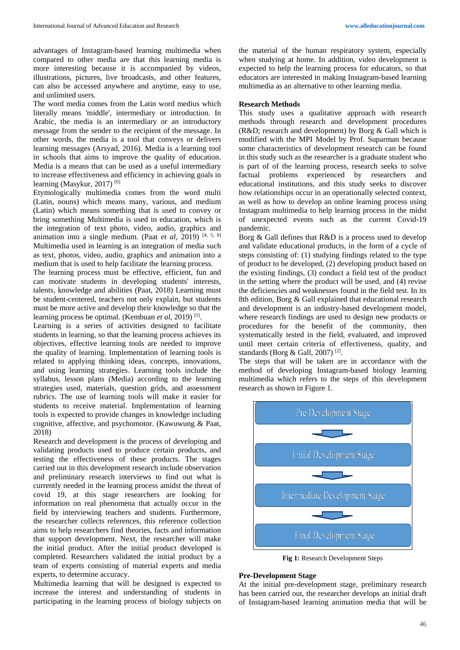advantages of Instagram-based learning multimedia when compared to other media are that this learning media is more interesting because it is accompanied by videos, illustrations, pictures, live broadcasts, and other features, can also be accessed anywhere and anytime, easy to use, and unlimited users.

The word media comes from the Latin word medius which literally means 'middle', intermediary or introduction. In Arabic, the media is an intermediary or an introductory message from the sender to the recipient of the message. In other words, the media is a tool that conveys or delivers learning messages (Arsyad, 2016). Media is a learning tool in schools that aims to improve the quality of education. Media is a means that can be used as a useful intermediary to increase effectiveness and efficiency in achieving goals in learning (Masykur, 2017) [6]

Etymologically multimedia comes from the word multi (Latin, nouns) which means many, various, and medium (Latin) which means something that is used to convey or bring something Multimedia is used in education, which is the integration of text photo, video, audio, graphics and animation into a single medium. (Paat *et al*, 2019) <sup>[4, 5, 8]</sup> Multimedia used in learning is an integration of media such as text, photos, video, audio, graphics and animation into a medium that is used to help facilitate the learning process.

The learning process must be effective, efficient, fun and can motivate students in developing students' interests, talents, knowledge and abilities (Paat, 2018) Learning must be student-centered, teachers not only explain, but students must be more active and develop their knowledge so that the learning process be optimal. (Kembuan *et al*, 2019) [5].

Learning is a series of activities designed to facilitate students in learning, so that the learning process achieves its objectives, effective learning tools are needed to improve the quality of learning. Implementation of learning tools is related to applying thinking ideas, concepts, innovations, and using learning strategies. Learning tools include the syllabus, lesson plans (Media) according to the learning strategies used, materials, question grids, and assessment rubrics. The use of learning tools will make it easier for students to receive material. Implementation of learning tools is expected to provide changes in knowledge including cognitive, affective, and psychomotor. (Kawuwung & Paat, 2018)

Research and development is the process of developing and validating products used to produce certain products, and testing the effectiveness of these products. The stages carried out in this development research include observation and preliminary research interviews to find out what is currently needed in the learning process amidst the threat of covid 19, at this stage researchers are looking for information on real phenomena that actually occur in the field by interviewing teachers and students. Furthermore, the researcher collects references, this reference collection aims to help researchers find theories, facts and information that support development. Next, the researcher will make the initial product. After the initial product developed is completed. Researchers validated the initial product by a team of experts consisting of material experts and media experts, to determine accuracy.

Multimedia learning that will be designed is expected to increase the interest and understanding of students in participating in the learning process of biology subjects on the material of the human respiratory system, especially when studying at home. In addition, video development is expected to help the learning process for educators, so that educators are interested in making Instagram-based learning multimedia as an alternative to other learning media.

#### **Research Methods**

This study uses a qualitative approach with research methods through research and development procedures (R&D; research and development) by Borg & Gall which is modified with the MPI Model by Prof. Suparman because some characteristics of development research can be found in this study such as the researcher is a graduate student who is part of of the learning process, research seeks to solve factual problems experienced by researchers and educational institutions, and this study seeks to discover how relationships occur in an operationally selected context, as well as how to develop an online learning process using Instagram multimedia to help learning process in the midst of unexpected events such as the current Covid-19 pandemic.

Borg & Gall defines that R&D is a process used to develop and validate educational products, in the form of a cycle of steps consisting of: (1) studying findings related to the type of product to be developed, (2) developing product based on the existing findings, (3) conduct a field test of the product in the setting where the product will be used, and (4) revise the deficiencies and weaknesses found in the field test. In its 8th edition, Borg & Gall explained that educational research and development is an industry-based development model, where research findings are used to design new products or procedures for the benefit of the community, then systematically tested in the field, evaluated, and improved until meet certain criteria of effectiveness, quality, and standards (Borg & Gall, 2007) [2].

The steps that will be taken are in accordance with the method of developing Instagram-based biology learning multimedia which refers to the steps of this development research as shown in Figure 1.



**Fig 1:** Research Development Steps

### **Pre-Development Stage**

At the initial pre-development stage, preliminary research has been carried out, the researcher develops an initial draft of Instagram-based learning animation media that will be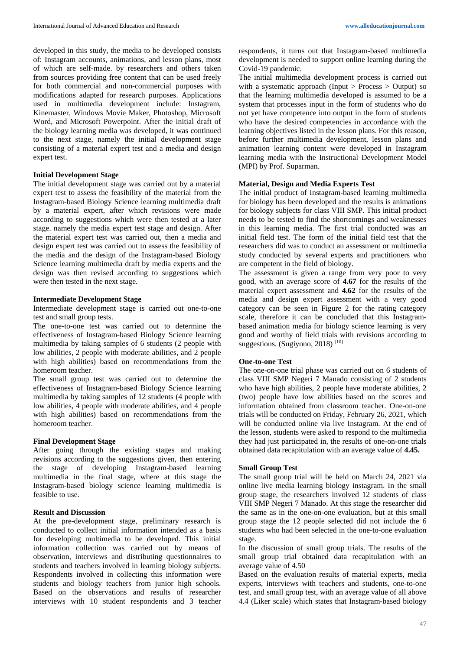developed in this study, the media to be developed consists of: Instagram accounts, animations, and lesson plans, most of which are self-made. by researchers and others taken from sources providing free content that can be used freely for both commercial and non-commercial purposes with modifications adapted for research purposes. Applications used in multimedia development include: Instagram, Kinemaster, Windows Movie Maker, Photoshop, Microsoft Word, and Microsoft Powerpoint. After the initial draft of the biology learning media was developed, it was continued to the next stage, namely the initial development stage consisting of a material expert test and a media and design expert test.

#### **Initial Development Stage**

The initial development stage was carried out by a material expert test to assess the feasibility of the material from the Instagram-based Biology Science learning multimedia draft by a material expert, after which revisions were made according to suggestions which were then tested at a later stage. namely the media expert test stage and design. After the material expert test was carried out, then a media and design expert test was carried out to assess the feasibility of the media and the design of the Instagram-based Biology Science learning multimedia draft by media experts and the design was then revised according to suggestions which were then tested in the next stage.

### **Intermediate Development Stage**

Intermediate development stage is carried out one-to-one test and small group tests.

The one-to-one test was carried out to determine the effectiveness of Instagram-based Biology Science learning multimedia by taking samples of 6 students (2 people with low abilities, 2 people with moderate abilities, and 2 people with high abilities) based on recommendations from the homeroom teacher.

The small group test was carried out to determine the effectiveness of Instagram-based Biology Science learning multimedia by taking samples of 12 students (4 people with low abilities, 4 people with moderate abilities, and 4 people with high abilities) based on recommendations from the homeroom teacher.

## **Final Development Stage**

After going through the existing stages and making revisions according to the suggestions given, then entering the stage of developing Instagram-based learning multimedia in the final stage, where at this stage the Instagram-based biology science learning multimedia is feasible to use.

## **Result and Discussion**

At the pre-development stage, preliminary research is conducted to collect initial information intended as a basis for developing multimedia to be developed. This initial information collection was carried out by means of observation, interviews and distributing questionnaires to students and teachers involved in learning biology subjects. Respondents involved in collecting this information were students and biology teachers from junior high schools. Based on the observations and results of researcher interviews with 10 student respondents and 3 teacher respondents, it turns out that Instagram-based multimedia development is needed to support online learning during the Covid-19 pandemic.

The initial multimedia development process is carried out with a systematic approach (Input  $>$  Process  $>$  Output) so that the learning multimedia developed is assumed to be a system that processes input in the form of students who do not yet have competence into output in the form of students who have the desired competencies in accordance with the learning objectives listed in the lesson plans. For this reason, before further multimedia development, lesson plans and animation learning content were developed in Instagram learning media with the Instructional Development Model (MPI) by Prof. Suparman.

### **Material, Design and Media Experts Test**

The initial product of Instagram-based learning multimedia for biology has been developed and the results is animations for biology subjects for class VIII SMP. This initial product needs to be tested to find the shortcomings and weaknesses in this learning media. The first trial conducted was an initial field test. The form of the initial field test that the researchers did was to conduct an assessment or multimedia study conducted by several experts and practitioners who are competent in the field of biology.

The assessment is given a range from very poor to very good, with an average score of **4.67** for the results of the material expert assessment and **4.62** for the results of the media and design expert assessment with a very good category can be seen in Figure 2 for the rating category scale, therefore it can be concluded that this Instagrambased animation media for biology science learning is very good and worthy of field trials with revisions according to suggestions. (Sugiyono, 2018)<sup>[10]</sup>

#### **One-to-one Test**

The one-on-one trial phase was carried out on 6 students of class VIII SMP Negeri 7 Manado consisting of 2 students who have high abilities, 2 people have moderate abilities, 2 (two) people have low abilities based on the scores and information obtained from classroom teacher. One-on-one trials will be conducted on Friday, February 26, 2021, which will be conducted online via live Instagram. At the end of the lesson, students were asked to respond to the multimedia they had just participated in, the results of one-on-one trials obtained data recapitulation with an average value of **4.45.**

## **Small Group Test**

The small group trial will be held on March 24, 2021 via online live media learning biology instagram. In the small group stage, the researchers involved 12 students of class VIII SMP Negeri 7 Manado. At this stage the researcher did the same as in the one-on-one evaluation, but at this small group stage the 12 people selected did not include the 6 students who had been selected in the one-to-one evaluation stage.

In the discussion of small group trials. The results of the small group trial obtained data recapitulation with an average value of 4.50

Based on the evaluation results of material experts, media experts, interviews with teachers and students, one-to-one test, and small group test, with an average value of all above 4.4 (Liker scale) which states that Instagram-based biology